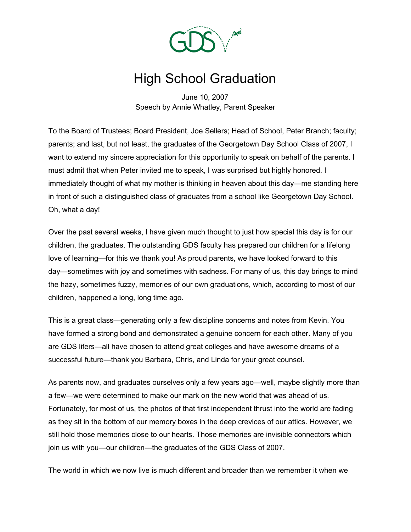

## High School Graduation

June 10, 2007 Speech by Annie Whatley, Parent Speaker

To the Board of Trustees; Board President, Joe Sellers; Head of School, Peter Branch; faculty; parents; and last, but not least, the graduates of the Georgetown Day School Class of 2007, I want to extend my sincere appreciation for this opportunity to speak on behalf of the parents. I must admit that when Peter invited me to speak, I was surprised but highly honored. I immediately thought of what my mother is thinking in heaven about this day—me standing here in front of such a distinguished class of graduates from a school like Georgetown Day School. Oh, what a day!

Over the past several weeks, I have given much thought to just how special this day is for our children, the graduates. The outstanding GDS faculty has prepared our children for a lifelong love of learning—for this we thank you! As proud parents, we have looked forward to this day—sometimes with joy and sometimes with sadness. For many of us, this day brings to mind the hazy, sometimes fuzzy, memories of our own graduations, which, according to most of our children, happened a long, long time ago.

This is a great class—generating only a few discipline concerns and notes from Kevin. You have formed a strong bond and demonstrated a genuine concern for each other. Many of you are GDS lifers—all have chosen to attend great colleges and have awesome dreams of a successful future—thank you Barbara, Chris, and Linda for your great counsel.

As parents now, and graduates ourselves only a few years ago—well, maybe slightly more than a few—we were determined to make our mark on the new world that was ahead of us. Fortunately, for most of us, the photos of that first independent thrust into the world are fading as they sit in the bottom of our memory boxes in the deep crevices of our attics. However, we still hold those memories close to our hearts. Those memories are invisible connectors which join us with you—our children—the graduates of the GDS Class of 2007.

The world in which we now live is much different and broader than we remember it when we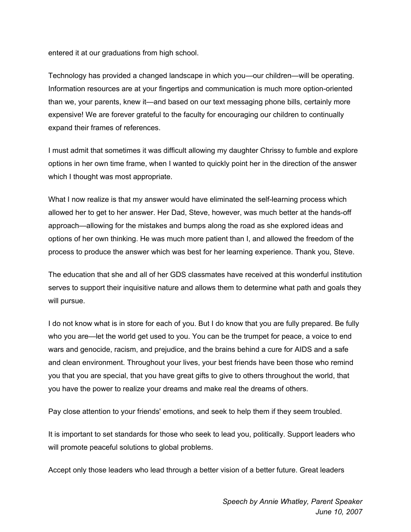entered it at our graduations from high school.

Technology has provided a changed landscape in which you—our children—will be operating. Information resources are at your fingertips and communication is much more option-oriented than we, your parents, knew it—and based on our text messaging phone bills, certainly more expensive! We are forever grateful to the faculty for encouraging our children to continually expand their frames of references.

I must admit that sometimes it was difficult allowing my daughter Chrissy to fumble and explore options in her own time frame, when I wanted to quickly point her in the direction of the answer which I thought was most appropriate.

What I now realize is that my answer would have eliminated the self-learning process which allowed her to get to her answer. Her Dad, Steve, however, was much better at the hands-off approach—allowing for the mistakes and bumps along the road as she explored ideas and options of her own thinking. He was much more patient than I, and allowed the freedom of the process to produce the answer which was best for her learning experience. Thank you, Steve.

The education that she and all of her GDS classmates have received at this wonderful institution serves to support their inquisitive nature and allows them to determine what path and goals they will pursue.

I do not know what is in store for each of you. But I do know that you are fully prepared. Be fully who you are—let the world get used to you. You can be the trumpet for peace, a voice to end wars and genocide, racism, and prejudice, and the brains behind a cure for AIDS and a safe and clean environment. Throughout your lives, your best friends have been those who remind you that you are special, that you have great gifts to give to others throughout the world, that you have the power to realize your dreams and make real the dreams of others.

Pay close attention to your friends' emotions, and seek to help them if they seem troubled.

It is important to set standards for those who seek to lead you, politically. Support leaders who will promote peaceful solutions to global problems.

Accept only those leaders who lead through a better vision of a better future. Great leaders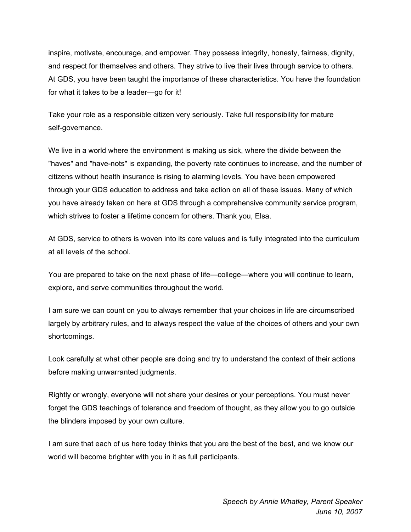inspire, motivate, encourage, and empower. They possess integrity, honesty, fairness, dignity, and respect for themselves and others. They strive to live their lives through service to others. At GDS, you have been taught the importance of these characteristics. You have the foundation for what it takes to be a leader—go for it!

Take your role as a responsible citizen very seriously. Take full responsibility for mature self-governance.

We live in a world where the environment is making us sick, where the divide between the "haves" and "have-nots" is expanding, the poverty rate continues to increase, and the number of citizens without health insurance is rising to alarming levels. You have been empowered through your GDS education to address and take action on all of these issues. Many of which you have already taken on here at GDS through a comprehensive community service program, which strives to foster a lifetime concern for others. Thank you, Elsa.

At GDS, service to others is woven into its core values and is fully integrated into the curriculum at all levels of the school.

You are prepared to take on the next phase of life—college—where you will continue to learn, explore, and serve communities throughout the world.

I am sure we can count on you to always remember that your choices in life are circumscribed largely by arbitrary rules, and to always respect the value of the choices of others and your own shortcomings.

Look carefully at what other people are doing and try to understand the context of their actions before making unwarranted judgments.

Rightly or wrongly, everyone will not share your desires or your perceptions. You must never forget the GDS teachings of tolerance and freedom of thought, as they allow you to go outside the blinders imposed by your own culture.

I am sure that each of us here today thinks that you are the best of the best, and we know our world will become brighter with you in it as full participants.